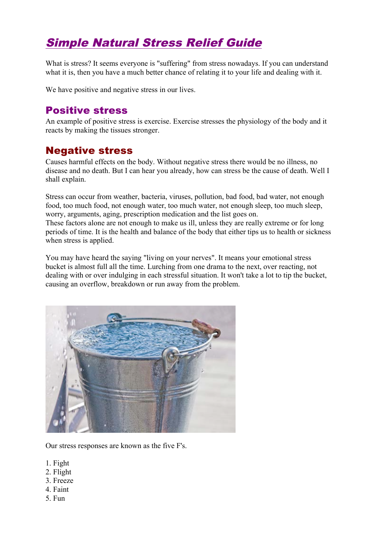# Simple Natural Stress Relief Guide

What is stress? It seems everyone is "suffering" from stress nowadays. If you can understand what it is, then you have a much better chance of relating it to your life and dealing with it.

We have positive and negative stress in our lives.

### Positive stress

An example of positive stress is exercise. Exercise stresses the physiology of the body and it reacts by making the tissues stronger.

### Negative stress

Causes harmful effects on the body. Without negative stress there would be no illness, no disease and no death. But I can hear you already, how can stress be the cause of death. Well I shall explain.

Stress can occur from weather, bacteria, viruses, pollution, bad food, bad water, not enough food, too much food, not enough water, too much water, not enough sleep, too much sleep, worry, arguments, aging, prescription medication and the list goes on. These factors alone are not enough to make us ill, unless they are really extreme or for long periods of time. It is the health and balance of the body that either tips us to health or sickness when stress is applied.

You may have heard the saying "living on your nerves". It means your emotional stress bucket is almost full all the time. Lurching from one drama to the next, over reacting, not dealing with or over indulging in each stressful situation. It won't take a lot to tip the bucket, causing an overflow, breakdown or run away from the problem.



Our stress responses are known as the five F's.

- 1. Fight
- 2. Flight
- 3. Freeze
- 4. Faint
- 5. Fun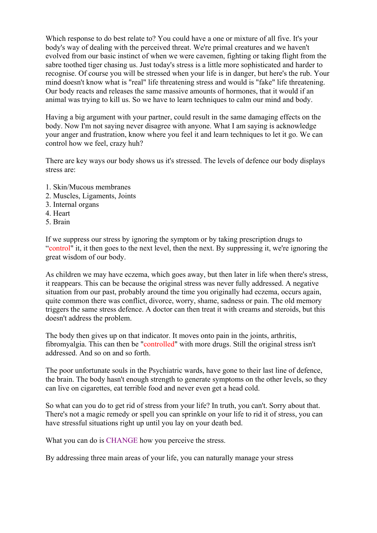Which response to do best relate to? You could have a one or mixture of all five. It's your body's way of dealing with the perceived threat. We're primal creatures and we haven't evolved from our basic instinct of when we were cavemen, fighting or taking flight from the sabre toothed tiger chasing us. Just today's stress is a little more sophisticated and harder to recognise. Of course you will be stressed when your life is in danger, but here's the rub. Your mind doesn't know what is "real" life threatening stress and would is "fake" life threatening. Our body reacts and releases the same massive amounts of hormones, that it would if an animal was trying to kill us. So we have to learn techniques to calm our mind and body.

Having a big argument with your partner, could result in the same damaging effects on the body. Now I'm not saying never disagree with anyone. What I am saying is acknowledge your anger and frustration, know where you feel it and learn techniques to let it go. We can control how we feel, crazy huh?

There are key ways our body shows us it's stressed. The levels of defence our body displays stress are:

- 1. Skin/Mucous membranes
- 2. Muscles, Ligaments, Joints
- 3. Internal organs
- 4. Heart
- 5. Brain

If we suppress our stress by ignoring the symptom or by taking prescription drugs to "control" it, it then goes to the next level, then the next. By suppressing it, we're ignoring the great wisdom of our body.

As children we may have eczema, which goes away, but then later in life when there's stress, it reappears. This can be because the original stress was never fully addressed. A negative situation from our past, probably around the time you originally had eczema, occurs again, quite common there was conflict, divorce, worry, shame, sadness or pain. The old memory triggers the same stress defence. A doctor can then treat it with creams and steroids, but this doesn't address the problem.

The body then gives up on that indicator. It moves onto pain in the joints, arthritis, fibromyalgia. This can then be "controlled" with more drugs. Still the original stress isn't addressed. And so on and so forth.

The poor unfortunate souls in the Psychiatric wards, have gone to their last line of defence, the brain. The body hasn't enough strength to generate symptoms on the other levels, so they can live on cigarettes, eat terrible food and never even get a head cold.

So what can you do to get rid of stress from your life? In truth, you can't. Sorry about that. There's not a magic remedy or spell you can sprinkle on your life to rid it of stress, you can have stressful situations right up until you lay on your death bed.

What you can do is CHANGE how you perceive the stress.

By addressing three main areas of your life, you can naturally manage your stress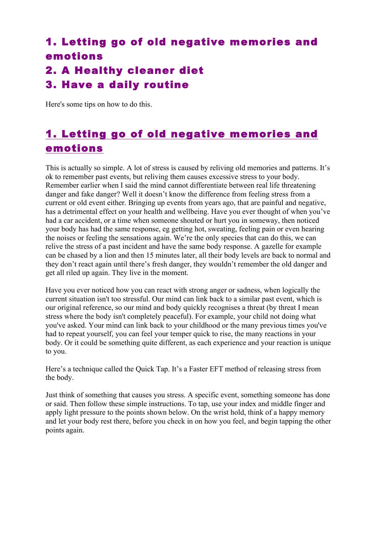# 1. Letting go of old negative memories and emotions 2. A Healthy cleaner diet 3. Have a daily routine

Here's some tips on how to do this.

## 1. Letting go of old negative memories and emotions

This is actually so simple. A lot of stress is caused by reliving old memories and patterns. It's ok to remember past events, but reliving them causes excessive stress to your body. Remember earlier when I said the mind cannot differentiate between real life threatening danger and fake danger? Well it doesn't know the difference from feeling stress from a current or old event either. Bringing up events from years ago, that are painful and negative, has a detrimental effect on your health and wellbeing. Have you ever thought of when you've had a car accident, or a time when someone shouted or hurt you in someway, then noticed your body has had the same response, eg getting hot, sweating, feeling pain or even hearing the noises or feeling the sensations again. We're the only species that can do this, we can relive the stress of a past incident and have the same body response. A gazelle for example can be chased by a lion and then 15 minutes later, all their body levels are back to normal and they don't react again until there's fresh danger, they wouldn't remember the old danger and get all riled up again. They live in the moment.

Have you ever noticed how you can react with strong anger or sadness, when logically the current situation isn't too stressful. Our mind can link back to a similar past event, which is our original reference, so our mind and body quickly recognises a threat (by threat I mean stress where the body isn't completely peaceful). For example, your child not doing what you've asked. Your mind can link back to your childhood or the many previous times you've had to repeat yourself, you can feel your temper quick to rise, the many reactions in your body. Or it could be something quite different, as each experience and your reaction is unique to you.

Here's a technique called the Quick Tap. It's a Faster EFT method of releasing stress from the body.

Just think of something that causes you stress. A specific event, something someone has done or said. Then follow these simple instructions. To tap, use your index and middle finger and apply light pressure to the points shown below. On the wrist hold, think of a happy memory and let your body rest there, before you check in on how you feel, and begin tapping the other points again.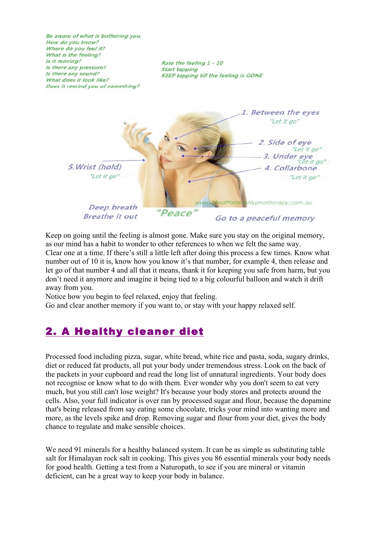Be aware of what is bothering you. How do you know? Where do you feel it? What is the feeling? Is it moving? Rate the feeling 1 - 10 Is there any pressure? **Start tapping** Is there any sound? KEEP tapping till the feeling is GONE What does it look like? Does it remind you of something? 1. Between the eyes "Let it go" 2. Side of eve "Let it go" 3. Under eye "Let it ao" 5. Wrist (hold) 4. Collarbone "Let it go" "Let it go"

> Deep breath **Breathe it out**

Go to a peaceful memory

sHypnotherapy.com.au

Keep on going until the feeling is almost gone. Make sure you stay on the original memory, as our mind has a habit to wonder to other references to when we felt the same way. Clear one at a time. If there's still a little left after doing this process a few times. Know what number out of 10 it is, know how you know it's that number, for example 4, then release and let go of that number 4 and all that it means, thank it for keeping you safe from harm, but you don't need it anymore and imagine it being tied to a big colourful balloon and watch it drift away from you.

"Peace"

www.MindMatte

Notice how you begin to feel relaxed, enjoy that feeling.

Go and clear another memory if you want to, or stay with your happy relaxed self.

## 2. A Healthy cleaner diet

Processed food including pizza, sugar, white bread, white rice and pasta, soda, sugary drinks, diet or reduced fat products, all put your body under tremendous stress. Look on the back of the packets in your cupboard and read the long list of unnatural ingredients. Your body does not recognise or know what to do with them. Ever wonder why you don't seem to eat very much, but you still can't lose weight? It's because your body stores and protects around the cells. Also, your full indicator is over ran by processed sugar and flour, because the dopamine that's being released from say eating some chocolate, tricks your mind into wanting more and more, as the levels spike and drop. Removing sugar and flour from your diet, gives the body chance to regulate and make sensible choices.

We need 91 minerals for a healthy balanced system. It can be as simple as substituting table salt for Himalayan rock salt in cooking. This gives you 86 essential minerals your body needs for good health. Getting a test from a Naturopath, to see if you are mineral or vitamin deficient, can be a great way to keep your body in balance.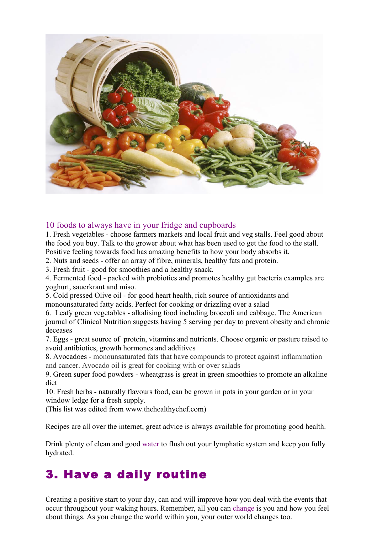

#### 10 foods to always have in your fridge and cupboards

1. Fresh vegetables - choose farmers markets and local fruit and veg stalls. Feel good about the food you buy. Talk to the grower about what has been used to get the food to the stall. Positive feeling towards food has amazing benefits to how your body absorbs it.

2. Nuts and seeds - offer an array of fibre, minerals, healthy fats and protein.

3. Fresh fruit - good for smoothies and a healthy snack.

4. Fermented food - packed with probiotics and promotes healthy gut bacteria examples are yoghurt, sauerkraut and miso.

5. Cold pressed Olive oil - for good heart health, rich source of antioxidants and monounsaturated fatty acids. Perfect for cooking or drizzling over a salad

6. Leafy green vegetables - alkalising food including broccoli and cabbage. The American journal of Clinical Nutrition suggests having 5 serving per day to prevent obesity and chronic deceases

7. Eggs - great source of protein, vitamins and nutrients. Choose organic or pasture raised to avoid antibiotics, growth hormones and additives

8. Avocadoes - monounsaturated fats that have compounds to protect against inflammation and cancer. Avocado oil is great for cooking with or over salads

9. Green super food powders - wheatgrass is great in green smoothies to promote an alkaline diet

10. Fresh herbs - naturally flavours food, can be grown in pots in your garden or in your window ledge for a fresh supply.

(This list was edited from www.thehealthychef.com)

Recipes are all over the internet, great advice is always available for promoting good health.

Drink plenty of clean and good water to flush out your lymphatic system and keep you fully hydrated.

# 3. Have a daily routine

Creating a positive start to your day, can and will improve how you deal with the events that occur throughout your waking hours. Remember, all you can change is you and how you feel about things. As you change the world within you, your outer world changes too.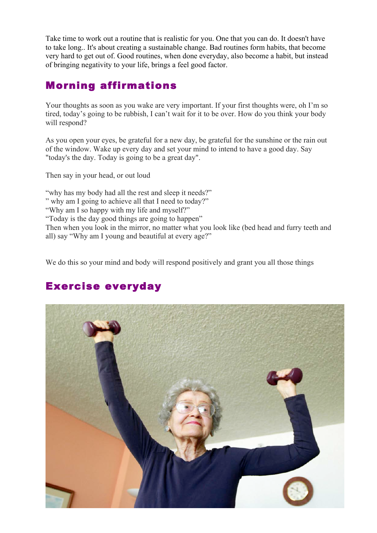Take time to work out a routine that is realistic for you. One that you can do. It doesn't have to take long.. It's about creating a sustainable change. Bad routines form habits, that become very hard to get out of. Good routines, when done everyday, also become a habit, but instead of bringing negativity to your life, brings a feel good factor.

## Morning affirmations

Your thoughts as soon as you wake are very important. If your first thoughts were, oh I'm so tired, today's going to be rubbish, I can't wait for it to be over. How do you think your body will respond?

As you open your eyes, be grateful for a new day, be grateful for the sunshine or the rain out of the window. Wake up every day and set your mind to intend to have a good day. Say "today's the day. Today is going to be a great day".

Then say in your head, or out loud

"why has my body had all the rest and sleep it needs?"

" why am I going to achieve all that I need to today?"

"Why am I so happy with my life and myself?"

"Today is the day good things are going to happen"

Then when you look in the mirror, no matter what you look like (bed head and furry teeth and all) say "Why am I young and beautiful at every age?"

We do this so your mind and body will respond positively and grant you all those things

# Exercise everyday